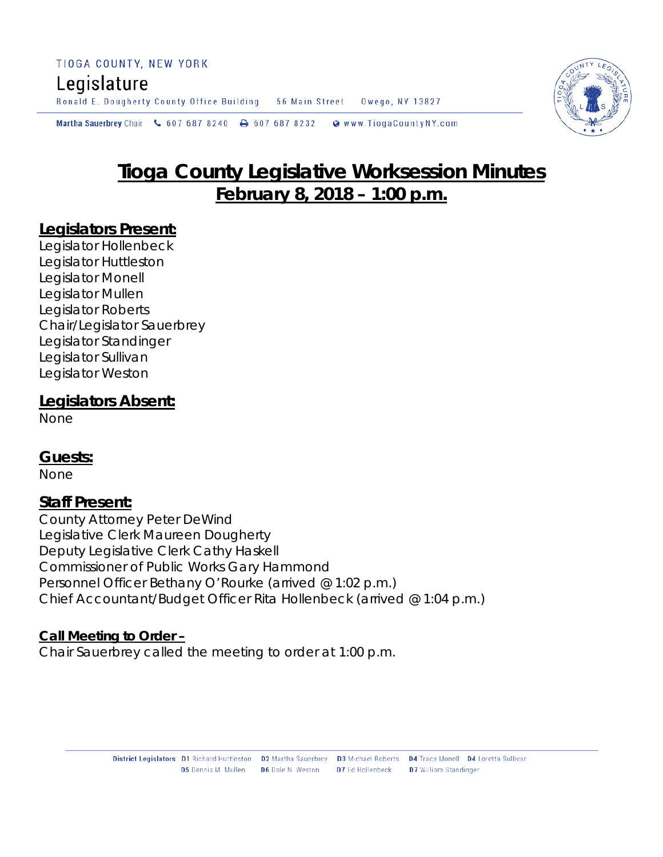# Legislature

Ronald E. Dougherty County Office Building 56 Main Street Owego, NY 13827

Martha Sauerbrey Chair & 607 687 8240 **a** 607 687 8232 Www.TiogaCountyNY.com

# **Tioga County Legislative Worksession Minutes February 8, 2018 – 1:00 p.m.**

#### **Legislators Present:**

Legislator Hollenbeck Legislator Huttleston Legislator Monell Legislator Mullen Legislator Roberts Chair/Legislator Sauerbrey Legislator Standinger Legislator Sullivan Legislator Weston

#### **Legislators Absent:**

None

## **Guests:**

None

#### **Staff Present:**

County Attorney Peter DeWind Legislative Clerk Maureen Dougherty Deputy Legislative Clerk Cathy Haskell Commissioner of Public Works Gary Hammond Personnel Officer Bethany O'Rourke *(arrived @ 1:02 p.m.)* Chief Accountant/Budget Officer Rita Hollenbeck *(arrived @ 1:04 p.m.)*

#### **Call Meeting to Order –**

Chair Sauerbrey called the meeting to order at 1:00 p.m.

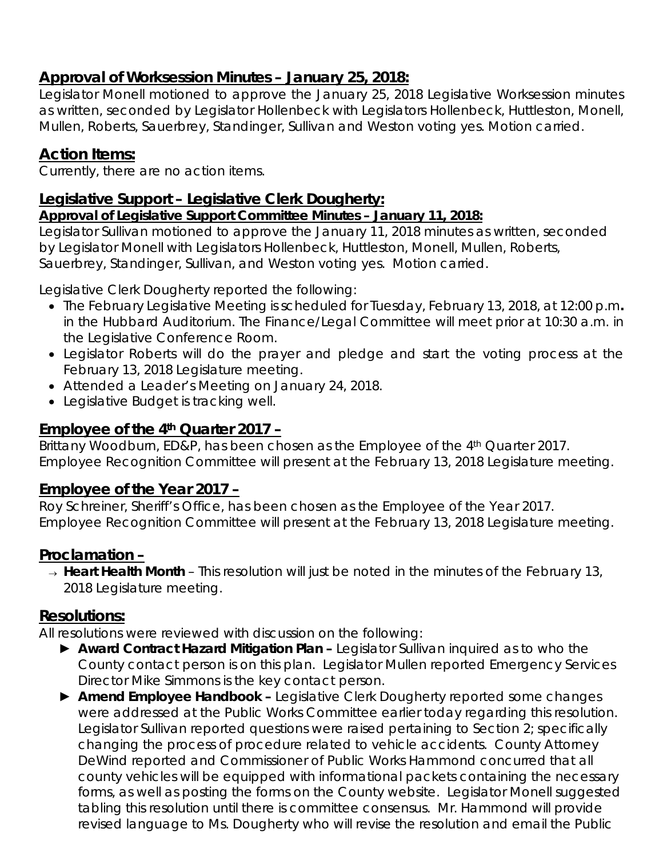# **Approval of Worksession Minutes – January 25, 2018:**

Legislator Monell motioned to approve the January 25, 2018 Legislative Worksession minutes as written, seconded by Legislator Hollenbeck with Legislators Hollenbeck, Huttleston, Monell, Mullen, Roberts, Sauerbrey, Standinger, Sullivan and Weston voting yes. Motion carried.

# **Action Items:**

Currently, there are no action items.

# **Legislative Support – Legislative Clerk Dougherty:**

#### *Approval of Legislative Support Committee Minutes – January 11, 2018:*

Legislator Sullivan motioned to approve the January 11, 2018 minutes as written, seconded by Legislator Monell with Legislators Hollenbeck, Huttleston, Monell, Mullen, Roberts, Sauerbrey, Standinger, Sullivan, and Weston voting yes. Motion carried.

Legislative Clerk Dougherty reported the following:

- The February Legislative Meeting is scheduled for Tuesday, February 13, 2018, at 12:00 p.m*.* in the Hubbard Auditorium. The Finance/Legal Committee will meet prior at 10:30 a.m. in the Legislative Conference Room.
- Legislator Roberts will do the prayer and pledge and start the voting process at the February 13, 2018 Legislature meeting.
- Attended a Leader's Meeting on January 24, 2018.
- Legislative Budget is tracking well.

## **Employee of the 4th Quarter 2017 –**

Brittany Woodburn, ED&P, has been chosen as the Employee of the 4<sup>th</sup> Quarter 2017. Employee Recognition Committee will present at the February 13, 2018 Legislature meeting.

## **Employee of the Year 2017 –**

Roy Schreiner, Sheriff's Office, has been chosen as the Employee of the Year 2017. Employee Recognition Committee will present at the February 13, 2018 Legislature meeting.

## **Proclamation –**

<sup>→</sup> *Heart Health Month* – This resolution will just be noted in the minutes of the February 13, 2018 Legislature meeting.

## **Resolutions:**

All resolutions were reviewed with discussion on the following:

- ► *Award Contract Hazard Mitigation Plan –* Legislator Sullivan inquired as to who the County contact person is on this plan. Legislator Mullen reported Emergency Services Director Mike Simmons is the key contact person.
- ► *Amend Employee Handbook –* Legislative Clerk Dougherty reported some changes were addressed at the Public Works Committee earlier today regarding this resolution. Legislator Sullivan reported questions were raised pertaining to Section 2; specifically changing the process of procedure related to vehicle accidents. County Attorney DeWind reported and Commissioner of Public Works Hammond concurred that all county vehicles will be equipped with informational packets containing the necessary forms, as well as posting the forms on the County website. Legislator Monell suggested tabling this resolution until there is committee consensus. Mr. Hammond will provide revised language to Ms. Dougherty who will revise the resolution and email the Public